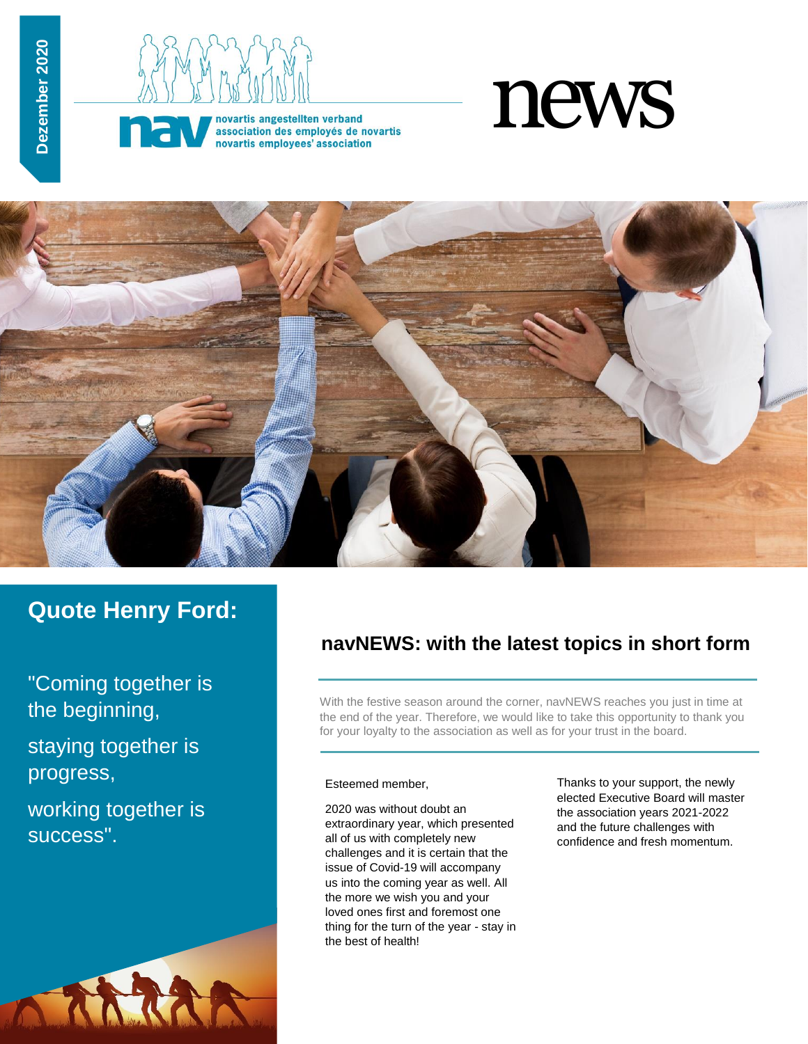



novartis angestellten verband association des employés de novartis novartis employees' association





# **Quote Henry Ford:**

"Coming together is the beginning,

staying together is progress,

working together is success".



## **navNEWS: with the latest topics in short form**

With the festive season around the corner, navNEWS reaches you just in time at the end of the year. Therefore, we would like to take this opportunity to thank you for your loyalty to the association as well as for your trust in the board.

#### Esteemed member,

2020 was without doubt an extraordinary year, which presented all of us with completely new challenges and it is certain that the issue of Covid-19 will accompany us into the coming year as well. All the more we wish you and your loved ones first and foremost one thing for the turn of the year - stay in the best of health!

Thanks to your support, the newly elected Executive Board will master the association years 2021-2022 and the future challenges with confidence and fresh momentum.